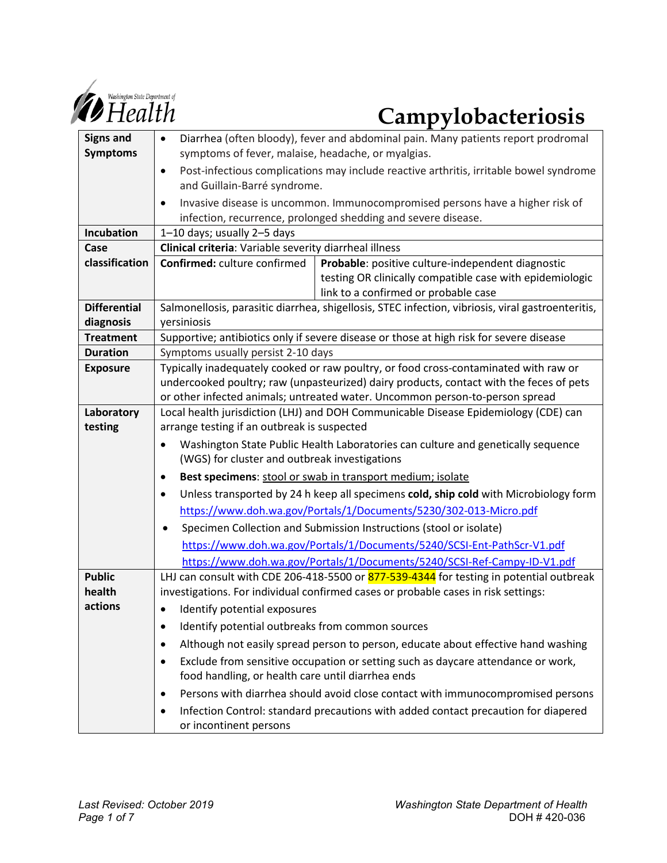

# **Campylobacteriosis**

| <b>Signs and</b>    | Diarrhea (often bloody), fever and abdominal pain. Many patients report prodromal<br>$\bullet$                                                 |
|---------------------|------------------------------------------------------------------------------------------------------------------------------------------------|
| <b>Symptoms</b>     | symptoms of fever, malaise, headache, or myalgias.                                                                                             |
|                     | Post-infectious complications may include reactive arthritis, irritable bowel syndrome<br>$\bullet$                                            |
|                     | and Guillain-Barré syndrome.                                                                                                                   |
|                     | Invasive disease is uncommon. Immunocompromised persons have a higher risk of<br>٠                                                             |
|                     | infection, recurrence, prolonged shedding and severe disease.                                                                                  |
| <b>Incubation</b>   | 1-10 days; usually 2-5 days                                                                                                                    |
| Case                | Clinical criteria: Variable severity diarrheal illness                                                                                         |
| classification      | Confirmed: culture confirmed<br>Probable: positive culture-independent diagnostic                                                              |
|                     | testing OR clinically compatible case with epidemiologic                                                                                       |
|                     | link to a confirmed or probable case                                                                                                           |
| <b>Differential</b> | Salmonellosis, parasitic diarrhea, shigellosis, STEC infection, vibriosis, viral gastroenteritis,                                              |
| diagnosis           | yersiniosis                                                                                                                                    |
| <b>Treatment</b>    | Supportive; antibiotics only if severe disease or those at high risk for severe disease                                                        |
| <b>Duration</b>     | Symptoms usually persist 2-10 days                                                                                                             |
| <b>Exposure</b>     | Typically inadequately cooked or raw poultry, or food cross-contaminated with raw or                                                           |
|                     | undercooked poultry; raw (unpasteurized) dairy products, contact with the feces of pets                                                        |
|                     | or other infected animals; untreated water. Uncommon person-to-person spread                                                                   |
| Laboratory          | Local health jurisdiction (LHJ) and DOH Communicable Disease Epidemiology (CDE) can<br>arrange testing if an outbreak is suspected             |
| testing             |                                                                                                                                                |
|                     | Washington State Public Health Laboratories can culture and genetically sequence<br>$\bullet$<br>(WGS) for cluster and outbreak investigations |
|                     | Best specimens: stool or swab in transport medium; isolate<br>٠                                                                                |
|                     | Unless transported by 24 h keep all specimens cold, ship cold with Microbiology form<br>$\bullet$                                              |
|                     | https://www.doh.wa.gov/Portals/1/Documents/5230/302-013-Micro.pdf                                                                              |
|                     | Specimen Collection and Submission Instructions (stool or isolate)<br>٠                                                                        |
|                     | https://www.doh.wa.gov/Portals/1/Documents/5240/SCSI-Ent-PathScr-V1.pdf                                                                        |
|                     | https://www.doh.wa.gov/Portals/1/Documents/5240/SCSI-Ref-Campy-ID-V1.pdf                                                                       |
| <b>Public</b>       | LHJ can consult with CDE 206-418-5500 or 877-539-4344 for testing in potential outbreak                                                        |
| health              | investigations. For individual confirmed cases or probable cases in risk settings:                                                             |
| actions             | Identify potential exposures                                                                                                                   |
|                     | Identify potential outbreaks from common sources                                                                                               |
|                     | Although not easily spread person to person, educate about effective hand washing<br>٠                                                         |
|                     | Exclude from sensitive occupation or setting such as daycare attendance or work,<br>٠                                                          |
|                     | food handling, or health care until diarrhea ends                                                                                              |
|                     | Persons with diarrhea should avoid close contact with immunocompromised persons<br>٠                                                           |
|                     | Infection Control: standard precautions with added contact precaution for diapered                                                             |
|                     | or incontinent persons                                                                                                                         |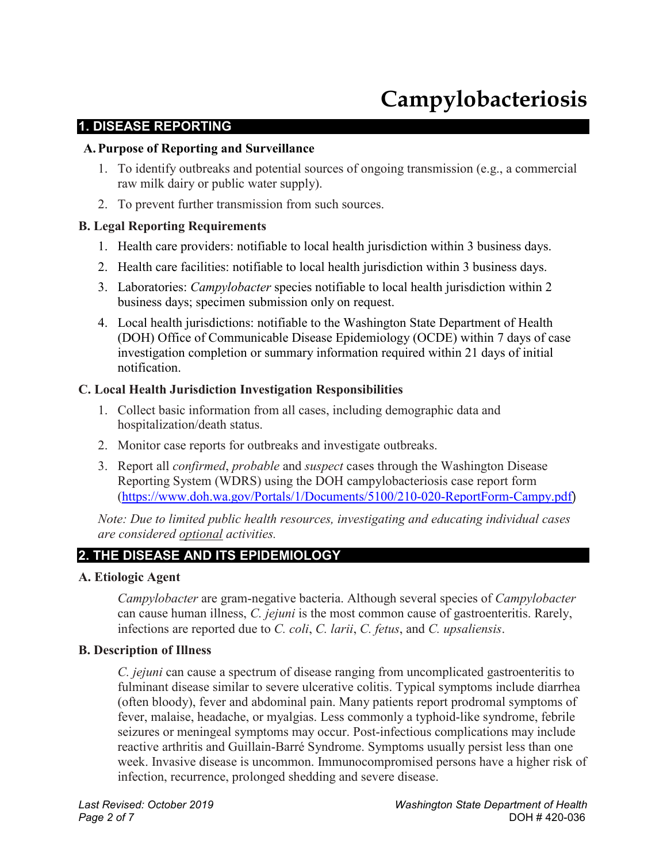## **Campylobacteriosis**

#### **1. DISEASE REPORTING**

#### **A.Purpose of Reporting and Surveillance**

- 1. To identify outbreaks and potential sources of ongoing transmission (e.g., a commercial raw milk dairy or public water supply).
- 2. To prevent further transmission from such sources.

#### **B. Legal Reporting Requirements**

- 1. Health care providers: notifiable to local health jurisdiction within 3 business days.
- 2. Health care facilities: notifiable to local health jurisdiction within 3 business days.
- 3. Laboratories: *Campylobacter* species notifiable to local health jurisdiction within 2 business days; specimen submission only on request.
- 4. Local health jurisdictions: notifiable to the Washington State Department of Health (DOH) Office of Communicable Disease Epidemiology (OCDE) within 7 days of case investigation completion or summary information required within 21 days of initial notification.

#### **C. Local Health Jurisdiction Investigation Responsibilities**

- 1. Collect basic information from all cases, including demographic data and hospitalization/death status.
- 2. Monitor case reports for outbreaks and investigate outbreaks.
- 3. Report all *confirmed*, *probable* and *suspect* cases through the Washington Disease Reporting System (WDRS) using the DOH campylobacteriosis case report form [\(https://www.doh.wa.gov/Portals/1/Documents/5100/210-020-ReportForm-Campy.pdf](https://www.doh.wa.gov/Portals/1/Documents/5100/210-020-ReportForm-Campy.pdf))

*Note: Due to limited public health resources, investigating and educating individual cases are considered optional activities.*

#### **2. THE DISEASE AND ITS EPIDEMIOLOGY**

#### **A. Etiologic Agent**

*Campylobacter* are gram-negative bacteria. Although several species of *Campylobacter* can cause human illness, *C. jejuni* is the most common cause of gastroenteritis. Rarely, infections are reported due to *C. coli*, *C. larii*, *C. fetus*, and *C. upsaliensis*.

#### **B. Description of Illness**

*C. jejuni* can cause a spectrum of disease ranging from uncomplicated gastroenteritis to fulminant disease similar to severe ulcerative colitis. Typical symptoms include diarrhea (often bloody), fever and abdominal pain. Many patients report prodromal symptoms of fever, malaise, headache, or myalgias. Less commonly a typhoid-like syndrome, febrile seizures or meningeal symptoms may occur. Post-infectious complications may include reactive arthritis and Guillain-Barré Syndrome. Symptoms usually persist less than one week. Invasive disease is uncommon. Immunocompromised persons have a higher risk of infection, recurrence, prolonged shedding and severe disease.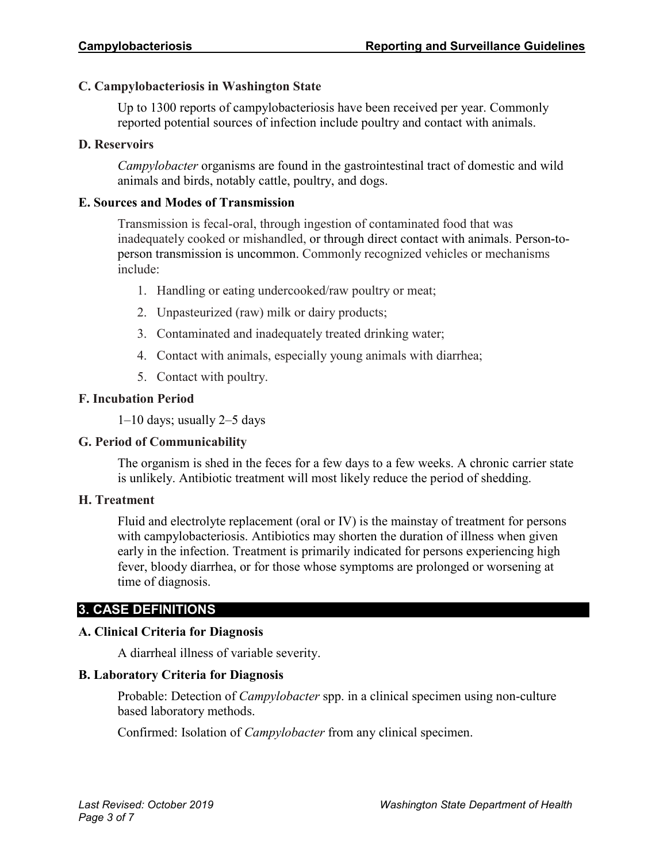#### **C. Campylobacteriosis in Washington State**

Up to 1300 reports of campylobacteriosis have been received per year. Commonly reported potential sources of infection include poultry and contact with animals.

#### **D. Reservoirs**

*Campylobacter* organisms are found in the gastrointestinal tract of domestic and wild animals and birds, notably cattle, poultry, and dogs.

#### **E. Sources and Modes of Transmission**

Transmission is fecal-oral, through ingestion of contaminated food that was inadequately cooked or mishandled, or through direct contact with animals. Person-toperson transmission is uncommon. Commonly recognized vehicles or mechanisms include:

- 1. Handling or eating undercooked/raw poultry or meat;
- 2. Unpasteurized (raw) milk or dairy products;
- 3. Contaminated and inadequately treated drinking water;
- 4. Contact with animals, especially young animals with diarrhea;
- 5. Contact with poultry.

#### **F. Incubation Period**

1–10 days; usually 2–5 days

#### **G. Period of Communicability**

The organism is shed in the feces for a few days to a few weeks. A chronic carrier state is unlikely. Antibiotic treatment will most likely reduce the period of shedding.

#### **H. Treatment**

Fluid and electrolyte replacement (oral or IV) is the mainstay of treatment for persons with campylobacteriosis. Antibiotics may shorten the duration of illness when given early in the infection. Treatment is primarily indicated for persons experiencing high fever, bloody diarrhea, or for those whose symptoms are prolonged or worsening at time of diagnosis.

#### **3. CASE DEFINITIONS**

#### **A. Clinical Criteria for Diagnosis**

A diarrheal illness of variable severity.

#### **B. Laboratory Criteria for Diagnosis**

Probable: Detection of *Campylobacter* spp. in a clinical specimen using non-culture based laboratory methods.

Confirmed: Isolation of *Campylobacter* from any clinical specimen.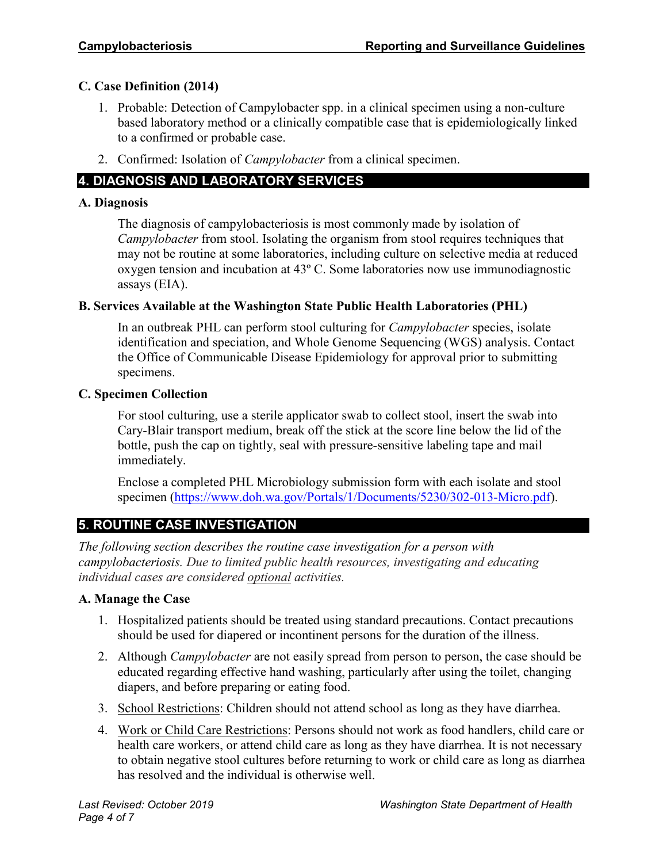#### **C. Case Definition (2014)**

- 1. Probable: Detection of Campylobacter spp. in a clinical specimen using a non-culture based laboratory method or a clinically compatible case that is epidemiologically linked to a confirmed or probable case.
- 2. Confirmed: Isolation of *Campylobacter* from a clinical specimen.

#### **4. DIAGNOSIS AND LABORATORY SERVICES**

#### **A. Diagnosis**

The diagnosis of campylobacteriosis is most commonly made by isolation of *Campylobacter* from stool. Isolating the organism from stool requires techniques that may not be routine at some laboratories, including culture on selective media at reduced oxygen tension and incubation at 43º C. Some laboratories now use immunodiagnostic assays (EIA).

#### **B. Services Available at the Washington State Public Health Laboratories (PHL)**

In an outbreak PHL can perform stool culturing for *Campylobacter* species, isolate identification and speciation, and Whole Genome Sequencing (WGS) analysis. Contact the Office of Communicable Disease Epidemiology for approval prior to submitting specimens.

#### **C. Specimen Collection**

For stool culturing, use a sterile applicator swab to collect stool, insert the swab into Cary-Blair transport medium, break off the stick at the score line below the lid of the bottle, push the cap on tightly, seal with pressure-sensitive labeling tape and mail immediately.

Enclose a completed PHL Microbiology submission form with each isolate and stool specimen [\(https://www.doh.wa.gov/Portals/1/Documents/5230/302-013-Micro.pdf\)](https://www.doh.wa.gov/Portals/1/Documents/5230/302-013-Micro.pdf).

### **5. ROUTINE CASE INVESTIGATION**

*The following section describes the routine case investigation for a person with campylobacteriosis. Due to limited public health resources, investigating and educating individual cases are considered optional activities.*

#### **A. Manage the Case**

- 1. Hospitalized patients should be treated using standard precautions. Contact precautions should be used for diapered or incontinent persons for the duration of the illness.
- 2. Although *Campylobacter* are not easily spread from person to person, the case should be educated regarding effective hand washing, particularly after using the toilet, changing diapers, and before preparing or eating food.
- 3. School Restrictions: Children should not attend school as long as they have diarrhea.
- 4. Work or Child Care Restrictions: Persons should not work as food handlers, child care or health care workers, or attend child care as long as they have diarrhea. It is not necessary to obtain negative stool cultures before returning to work or child care as long as diarrhea has resolved and the individual is otherwise well.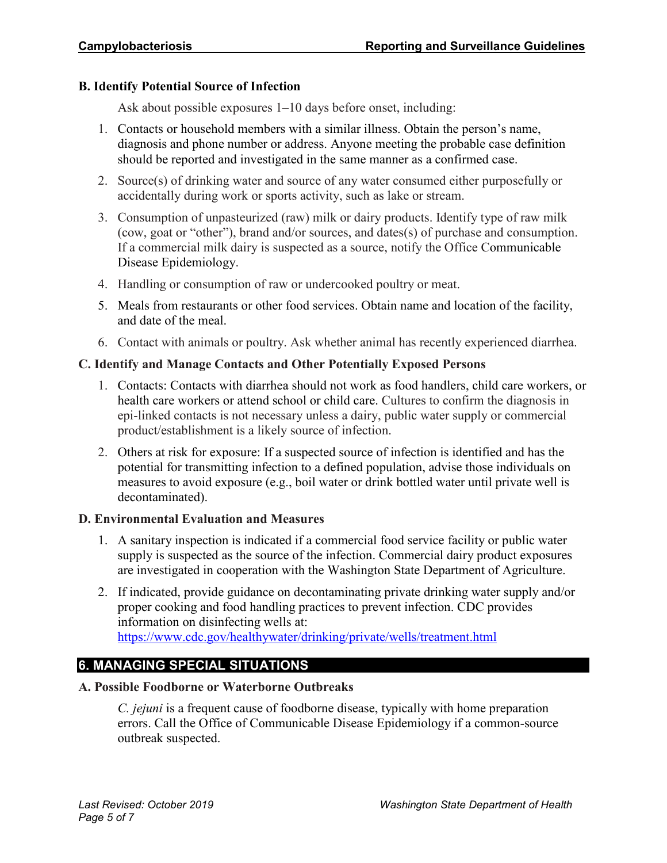#### **B. Identify Potential Source of Infection**

Ask about possible exposures 1–10 days before onset, including:

- 1. Contacts or household members with a similar illness. Obtain the person's name, diagnosis and phone number or address. Anyone meeting the probable case definition should be reported and investigated in the same manner as a confirmed case.
- 2. Source(s) of drinking water and source of any water consumed either purposefully or accidentally during work or sports activity, such as lake or stream.
- 3. Consumption of unpasteurized (raw) milk or dairy products. Identify type of raw milk (cow, goat or "other"), brand and/or sources, and dates(s) of purchase and consumption. If a commercial milk dairy is suspected as a source, notify the Office Communicable Disease Epidemiology.
- 4. Handling or consumption of raw or undercooked poultry or meat.
- 5. Meals from restaurants or other food services. Obtain name and location of the facility, and date of the meal.
- 6. Contact with animals or poultry. Ask whether animal has recently experienced diarrhea.

#### **C. Identify and Manage Contacts and Other Potentially Exposed Persons**

- 1. Contacts: Contacts with diarrhea should not work as food handlers, child care workers, or health care workers or attend school or child care. Cultures to confirm the diagnosis in epi-linked contacts is not necessary unless a dairy, public water supply or commercial product/establishment is a likely source of infection.
- 2. Others at risk for exposure: If a suspected source of infection is identified and has the potential for transmitting infection to a defined population, advise those individuals on measures to avoid exposure (e.g., boil water or drink bottled water until private well is decontaminated).

#### **D. Environmental Evaluation and Measures**

- 1. A sanitary inspection is indicated if a commercial food service facility or public water supply is suspected as the source of the infection. Commercial dairy product exposures are investigated in cooperation with the Washington State Department of Agriculture.
- 2. If indicated, provide guidance on decontaminating private drinking water supply and/or proper cooking and food handling practices to prevent infection. CDC provides information on disinfecting wells at: <https://www.cdc.gov/healthywater/drinking/private/wells/treatment.html>

#### **6. MANAGING SPECIAL SITUATIONS**

#### **A. Possible Foodborne or Waterborne Outbreaks**

*C. jejuni* is a frequent cause of foodborne disease, typically with home preparation errors. Call the Office of Communicable Disease Epidemiology if a common-source outbreak suspected.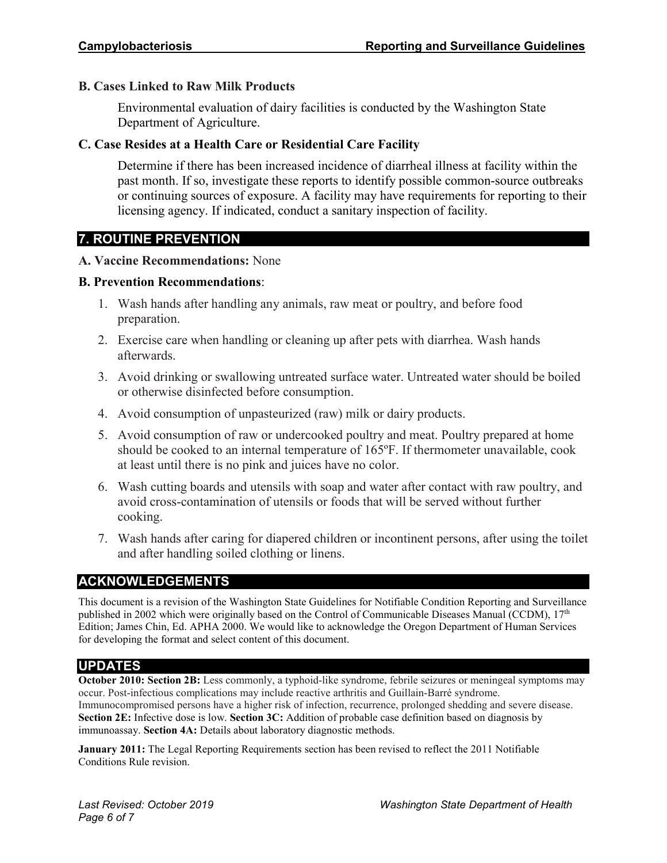#### **B. Cases Linked to Raw Milk Products**

Environmental evaluation of dairy facilities is conducted by the Washington State Department of Agriculture.

#### **C. Case Resides at a Health Care or Residential Care Facility**

Determine if there has been increased incidence of diarrheal illness at facility within the past month. If so, investigate these reports to identify possible common-source outbreaks or continuing sources of exposure. A facility may have requirements for reporting to their licensing agency. If indicated, conduct a sanitary inspection of facility.

#### **7. ROUTINE PREVENTION**

#### **A. Vaccine Recommendations:** None

#### **B. Prevention Recommendations**:

- 1. Wash hands after handling any animals, raw meat or poultry, and before food preparation.
- 2. Exercise care when handling or cleaning up after pets with diarrhea. Wash hands afterwards.
- 3. Avoid drinking or swallowing untreated surface water. Untreated water should be boiled or otherwise disinfected before consumption.
- 4. Avoid consumption of unpasteurized (raw) milk or dairy products.
- 5. Avoid consumption of raw or undercooked poultry and meat. Poultry prepared at home should be cooked to an internal temperature of 165ºF. If thermometer unavailable, cook at least until there is no pink and juices have no color.
- 6. Wash cutting boards and utensils with soap and water after contact with raw poultry, and avoid cross-contamination of utensils or foods that will be served without further cooking.
- 7. Wash hands after caring for diapered children or incontinent persons, after using the toilet and after handling soiled clothing or linens.

#### **ACKNOWLEDGEMENTS**

This document is a revision of the Washington State Guidelines for Notifiable Condition Reporting and Surveillance published in 2002 which were originally based on the Control of Communicable Diseases Manual (CCDM), 17<sup>th</sup> Edition; James Chin, Ed. APHA 2000. We would like to acknowledge the Oregon Department of Human Services for developing the format and select content of this document.

#### **UPDATES**

**October 2010: Section 2B:** Less commonly, a typhoid-like syndrome, febrile seizures or meningeal symptoms may occur. Post-infectious complications may include reactive arthritis and Guillain-Barré syndrome. Immunocompromised persons have a higher risk of infection, recurrence, prolonged shedding and severe disease. **Section 2E:** Infective dose is low. **Section 3C:** Addition of probable case definition based on diagnosis by immunoassay. **Section 4A:** Details about laboratory diagnostic methods.

**January 2011:** The Legal Reporting Requirements section has been revised to reflect the 2011 Notifiable Conditions Rule revision.